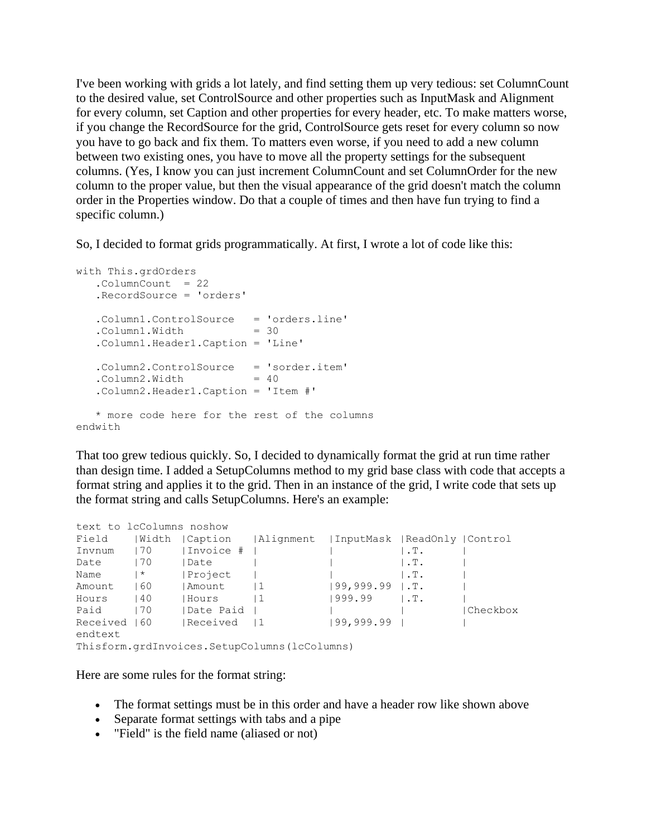I've been working with grids a lot lately, and find setting them up very tedious: set ColumnCount to the desired value, set ControlSource and other properties such as InputMask and Alignment for every column, set Caption and other properties for every header, etc. To make matters worse, if you change the RecordSource for the grid, ControlSource gets reset for every column so now you have to go back and fix them. To matters even worse, if you need to add a new column between two existing ones, you have to move all the property settings for the subsequent columns. (Yes, I know you can just increment ColumnCount and set ColumnOrder for the new column to the proper value, but then the visual appearance of the grid doesn't match the column order in the Properties window. Do that a couple of times and then have fun trying to find a specific column.)

So, I decided to format grids programmatically. At first, I wrote a lot of code like this:

```
with This.grdOrders
   .ColumnCount = 22
   .RecordSource = 'orders'
   .Column1.ControlSource = 'orders.line'
  .Column1.Width = 30
   .Column1.Header1.Caption = 'Line'
   .Column2.ControlSource = 'sorder.item'
  .Column2.Width = 40 .Column2.Header1.Caption = 'Item #'
   * more code here for the rest of the columns
endwith
```
That too grew tedious quickly. So, I decided to dynamically format the grid at run time rather than design time. I added a SetupColumns method to my grid base class with code that accepts a format string and applies it to the grid. Then in an instance of the grid, I write code that sets up the format string and calls SetupColumns. Here's an example:

| text to 1cColumns noshow                     |       |             |                                                      |                       |                   |          |
|----------------------------------------------|-------|-------------|------------------------------------------------------|-----------------------|-------------------|----------|
| Field                                        | Width |             | Caption   Alignment   InputMask   ReadOnly   Control |                       |                   |          |
| Invnum                                       | 70    | Invoice #   |                                                      |                       | $\vert$ .T.       |          |
| Date                                         | 70    | Date        |                                                      |                       | $\vert$ .T.       |          |
| Name                                         | ∣ *   | Project     |                                                      |                       | $\mathsf{I}$ . T. |          |
| Amount                                       | 160   | Amount      | $\vert$ 1                                            | $199, 999.99$ $1.$ T. |                   |          |
| Hours                                        | 140   | Hours       | $\perp$                                              | 1999.99               | $\mathsf{I}$ . T. |          |
| Paid                                         | 170   | Date Paid   |                                                      |                       |                   | Checkbox |
| Received 160                                 |       | Received 11 |                                                      | 199,999.99            |                   |          |
| endtext                                      |       |             |                                                      |                       |                   |          |
| Thisform.grdInvoices.SetupColumns(lcColumns) |       |             |                                                      |                       |                   |          |

Here are some rules for the format string:

- The format settings must be in this order and have a header row like shown above
- Separate format settings with tabs and a pipe
- "Field" is the field name (aliased or not)